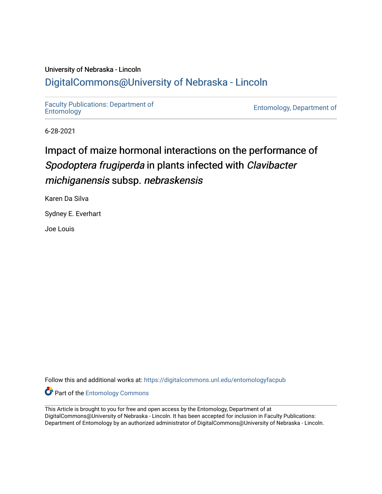## University of Nebraska - Lincoln [DigitalCommons@University of Nebraska - Lincoln](https://digitalcommons.unl.edu/)

[Faculty Publications: Department of](https://digitalcommons.unl.edu/entomologyfacpub) 

[Entomology](https://digitalcommons.unl.edu/entomologyfacpub), Department of

6-28-2021

## Impact of maize hormonal interactions on the performance of Spodoptera frugiperda in plants infected with Clavibacter michiganensis subsp. nebraskensis

Karen Da Silva

Sydney E. Everhart

Joe Louis

Follow this and additional works at: [https://digitalcommons.unl.edu/entomologyfacpub](https://digitalcommons.unl.edu/entomologyfacpub?utm_source=digitalcommons.unl.edu%2Fentomologyfacpub%2F947&utm_medium=PDF&utm_campaign=PDFCoverPages)

**Part of the Entomology Commons** 

This Article is brought to you for free and open access by the Entomology, Department of at DigitalCommons@University of Nebraska - Lincoln. It has been accepted for inclusion in Faculty Publications: Department of Entomology by an authorized administrator of DigitalCommons@University of Nebraska - Lincoln.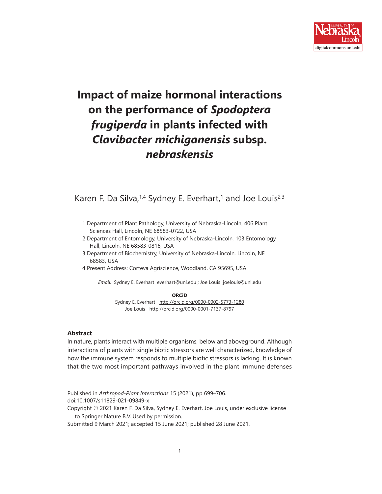

# **Impact of maize hormonal interactions on the performance of** *Spodoptera frugiperda* **in plants infected with**  *Clavibacter michiganensis* **subsp.**  *nebraskensis*

Karen F. Da Silva,  $1/4$  Sydney E. Everhart,<sup>1</sup> and Joe Louis<sup>2,3</sup>

- 1 Department of Plant Pathology, University of Nebraska-Lincoln, 406 Plant Sciences Hall, Lincoln, NE 68583-0722, USA
- 2 Department of Entomology, University of Nebraska-Lincoln, 103 Entomology Hall, Lincoln, NE 68583-0816, USA
- 3 Department of Biochemistry, University of Nebraska-Lincoln, Lincoln, NE 68583, USA
- 4 Present Address: Corteva Agriscience, Woodland, CA 95695, USA

*Email:* Sydney E. Everhart everhart@unl.edu ; Joe Louis joelouis@unl.edu

#### **ORCiD**

Sydney E. Everhart <http://orcid.org/0000-0002-5773-1280> Joe Louis <http://orcid.org/0000-0001-7137-8797>

#### **Abstract**

In nature, plants interact with multiple organisms, below and aboveground. Although interactions of plants with single biotic stressors are well characterized, knowledge of how the immune system responds to multiple biotic stressors is lacking. It is known that the two most important pathways involved in the plant immune defenses

doi:10.1007/s11829-021-09849-x

Published in *Arthropod-Plant Interactions* 15 (2021), pp 699–706.

Copyright © 2021 Karen F. Da Silva, Sydney E. Everhart, Joe Louis, under exclusive license to Springer Nature B.V. Used by permission.

Submitted 9 March 2021; accepted 15 June 2021; published 28 June 2021.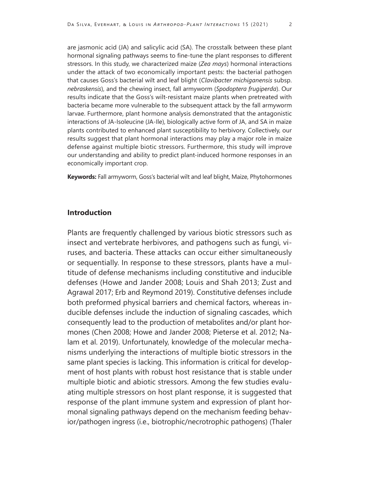are jasmonic acid (JA) and salicylic acid (SA). The crosstalk between these plant hormonal signaling pathways seems to fine-tune the plant responses to different stressors. In this study, we characterized maize (*Zea mays*) hormonal interactions under the attack of two economically important pests: the bacterial pathogen that causes Goss's bacterial wilt and leaf blight (*Clavibacter michiganensis* subsp. *nebraskensis*), and the chewing insect, fall armyworm (*Spodoptera frugiperda*). Our results indicate that the Goss's wilt-resistant maize plants when pretreated with bacteria became more vulnerable to the subsequent attack by the fall armyworm larvae. Furthermore, plant hormone analysis demonstrated that the antagonistic interactions of JA-Isoleucine (JA-Ile), biologically active form of JA, and SA in maize plants contributed to enhanced plant susceptibility to herbivory. Collectively, our results suggest that plant hormonal interactions may play a major role in maize defense against multiple biotic stressors. Furthermore, this study will improve our understanding and ability to predict plant-induced hormone responses in an economically important crop.

**Keywords:** Fall armyworm, Goss's bacterial wilt and leaf blight, Maize, Phytohormones

## **Introduction**

Plants are frequently challenged by various biotic stressors such as insect and vertebrate herbivores, and pathogens such as fungi, viruses, and bacteria. These attacks can occur either simultaneously or sequentially. In response to these stressors, plants have a multitude of defense mechanisms including constitutive and inducible defenses (Howe and Jander 2008; Louis and Shah 2013; Zust and Agrawal 2017; Erb and Reymond 2019). Constitutive defenses include both preformed physical barriers and chemical factors, whereas inducible defenses include the induction of signaling cascades, which consequently lead to the production of metabolites and/or plant hormones (Chen 2008; Howe and Jander 2008; Pieterse et al. 2012; Nalam et al. 2019). Unfortunately, knowledge of the molecular mechanisms underlying the interactions of multiple biotic stressors in the same plant species is lacking. This information is critical for development of host plants with robust host resistance that is stable under multiple biotic and abiotic stressors. Among the few studies evaluating multiple stressors on host plant response, it is suggested that response of the plant immune system and expression of plant hormonal signaling pathways depend on the mechanism feeding behavior/pathogen ingress (i.e., biotrophic/necrotrophic pathogens) (Thaler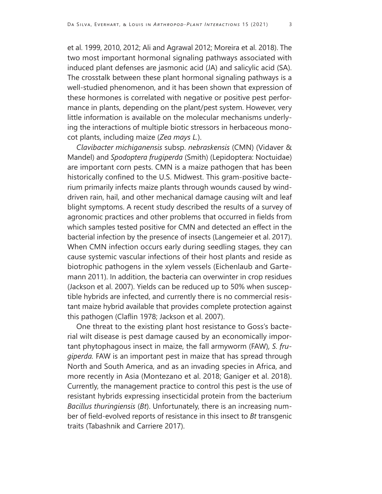et al. 1999, 2010, 2012; Ali and Agrawal 2012; Moreira et al. 2018). The two most important hormonal signaling pathways associated with induced plant defenses are jasmonic acid (JA) and salicylic acid (SA). The crosstalk between these plant hormonal signaling pathways is a well-studied phenomenon, and it has been shown that expression of these hormones is correlated with negative or positive pest performance in plants, depending on the plant/pest system. However, very little information is available on the molecular mechanisms underlying the interactions of multiple biotic stressors in herbaceous monocot plants, including maize (*Zea mays L.*).

*Clavibacter michiganensis* subsp. *nebraskensis* (CMN) (Vidaver & Mandel) and *Spodoptera frugiperda* (Smith) (Lepidoptera: Noctuidae) are important corn pests. CMN is a maize pathogen that has been historically confined to the U.S. Midwest. This gram-positive bacterium primarily infects maize plants through wounds caused by winddriven rain, hail, and other mechanical damage causing wilt and leaf blight symptoms. A recent study described the results of a survey of agronomic practices and other problems that occurred in fields from which samples tested positive for CMN and detected an effect in the bacterial infection by the presence of insects (Langemeier et al. 2017). When CMN infection occurs early during seedling stages, they can cause systemic vascular infections of their host plants and reside as biotrophic pathogens in the xylem vessels (Eichenlaub and Gartemann 2011). In addition, the bacteria can overwinter in crop residues (Jackson et al. 2007). Yields can be reduced up to 50% when susceptible hybrids are infected, and currently there is no commercial resistant maize hybrid available that provides complete protection against this pathogen (Claflin 1978; Jackson et al. 2007).

One threat to the existing plant host resistance to Goss's bacterial wilt disease is pest damage caused by an economically important phytophagous insect in maize, the fall armyworm (FAW)*, S. frugiperda.* FAW is an important pest in maize that has spread through North and South America, and as an invading species in Africa, and more recently in Asia (Montezano et al. 2018; Ganiger et al. 2018). Currently, the management practice to control this pest is the use of resistant hybrids expressing insecticidal protein from the bacterium *Bacillus thuringiensis* (*Bt*). Unfortunately, there is an increasing number of field-evolved reports of resistance in this insect to *Bt* transgenic traits (Tabashnik and Carriere 2017).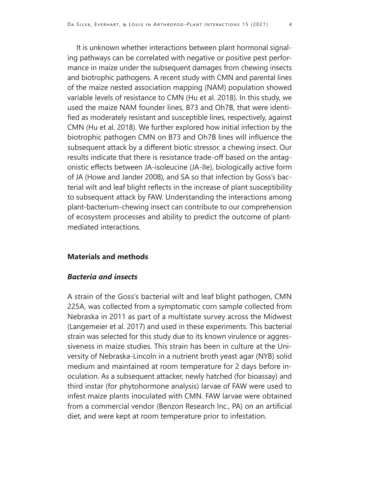It is unknown whether interactions between plant hormonal signaling pathways can be correlated with negative or positive pest performance in maize under the subsequent damages from chewing insects and biotrophic pathogens. A recent study with CMN and parental lines of the maize nested association mapping (NAM) population showed variable levels of resistance to CMN (Hu et al. 2018). In this study, we used the maize NAM founder lines, B73 and Oh7B, that were identified as moderately resistant and susceptible lines, respectively, against CMN (Hu et al. 2018). We further explored how initial infection by the biotrophic pathogen CMN on B73 and Oh7B lines will influence the subsequent attack by a different biotic stressor, a chewing insect. Our results indicate that there is resistance trade-off based on the antagonistic effects between JA-isoleucine (JA-Ile), biologically active form of JA (Howe and Jander 2008), and SA so that infection by Goss's bacterial wilt and leaf blight reflects in the increase of plant susceptibility to subsequent attack by FAW. Understanding the interactions among plant-bacterium-chewing insect can contribute to our comprehension of ecosystem processes and ability to predict the outcome of plantmediated interactions.

## **Materials and methods**

## *Bacteria and insects*

A strain of the Goss's bacterial wilt and leaf blight pathogen, CMN 225A, was collected from a symptomatic corn sample collected from Nebraska in 2011 as part of a multistate survey across the Midwest (Langemeier et al. 2017) and used in these experiments. This bacterial strain was selected for this study due to its known virulence or aggressiveness in maize studies. This strain has been in culture at the University of Nebraska-Lincoln in a nutrient broth yeast agar (NYB) solid medium and maintained at room temperature for 2 days before inoculation. As a subsequent attacker, newly hatched (for bioassay) and third instar (for phytohormone analysis) larvae of FAW were used to infest maize plants inoculated with CMN. FAW larvae were obtained from a commercial vendor (Benzon Research Inc., PA) on an artificial diet, and were kept at room temperature prior to infestation.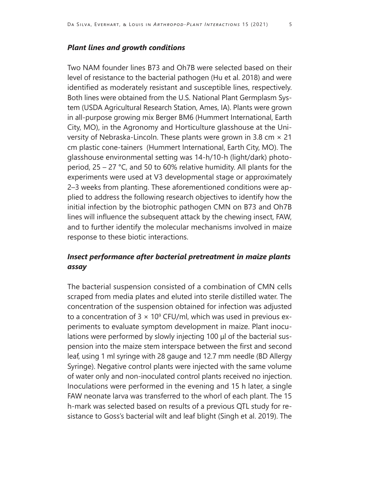## *Plant lines and growth conditions*

Two NAM founder lines B73 and Oh7B were selected based on their level of resistance to the bacterial pathogen (Hu et al. 2018) and were identified as moderately resistant and susceptible lines, respectively. Both lines were obtained from the U.S. National Plant Germplasm System (USDA Agricultural Research Station, Ames, IA). Plants were grown in all-purpose growing mix Berger BM6 (Hummert International, Earth City, MO), in the Agronomy and Horticulture glasshouse at the University of Nebraska-Lincoln. These plants were grown in 3.8 cm  $\times$  21 cm plastic cone-tainers (Hummert International, Earth City, MO). The glasshouse environmental setting was 14-h/10-h (light/dark) photoperiod, 25 – 27 °C, and 50 to 60% relative humidity. All plants for the experiments were used at V3 developmental stage or approximately 2–3 weeks from planting. These aforementioned conditions were applied to address the following research objectives to identify how the initial infection by the biotrophic pathogen CMN on B73 and Oh7B lines will influence the subsequent attack by the chewing insect, FAW, and to further identify the molecular mechanisms involved in maize response to these biotic interactions.

## *Insect performance after bacterial pretreatment in maize plants assay*

The bacterial suspension consisted of a combination of CMN cells scraped from media plates and eluted into sterile distilled water. The concentration of the suspension obtained for infection was adjusted to a concentration of  $3 \times 10^9$  CFU/ml, which was used in previous experiments to evaluate symptom development in maize. Plant inoculations were performed by slowly injecting 100 μl of the bacterial suspension into the maize stem interspace between the first and second leaf, using 1 ml syringe with 28 gauge and 12.7 mm needle (BD Allergy Syringe). Negative control plants were injected with the same volume of water only and non-inoculated control plants received no injection. Inoculations were performed in the evening and 15 h later, a single FAW neonate larva was transferred to the whorl of each plant. The 15 h-mark was selected based on results of a previous QTL study for resistance to Goss's bacterial wilt and leaf blight (Singh et al. 2019). The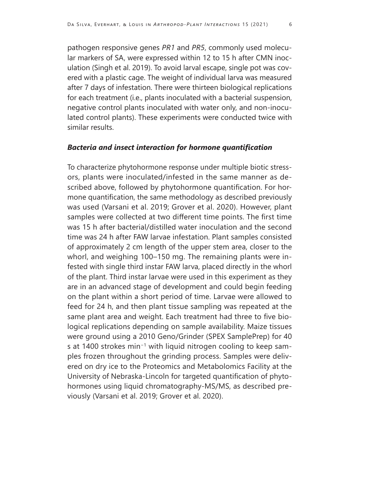pathogen responsive genes *PR1* and *PR5*, commonly used molecular markers of SA, were expressed within 12 to 15 h after CMN inoculation (Singh et al. 2019). To avoid larval escape, single pot was covered with a plastic cage. The weight of individual larva was measured after 7 days of infestation. There were thirteen biological replications for each treatment (i.e., plants inoculated with a bacterial suspension, negative control plants inoculated with water only, and non-inoculated control plants). These experiments were conducted twice with similar results.

## *Bacteria and insect interaction for hormone quantification*

To characterize phytohormone response under multiple biotic stressors, plants were inoculated/infested in the same manner as described above, followed by phytohormone quantification. For hormone quantification, the same methodology as described previously was used (Varsani et al. 2019; Grover et al. 2020). However, plant samples were collected at two different time points. The first time was 15 h after bacterial/distilled water inoculation and the second time was 24 h after FAW larvae infestation. Plant samples consisted of approximately 2 cm length of the upper stem area, closer to the whorl, and weighing 100–150 mg. The remaining plants were infested with single third instar FAW larva, placed directly in the whorl of the plant. Third instar larvae were used in this experiment as they are in an advanced stage of development and could begin feeding on the plant within a short period of time. Larvae were allowed to feed for 24 h, and then plant tissue sampling was repeated at the same plant area and weight. Each treatment had three to five biological replications depending on sample availability. Maize tissues were ground using a 2010 Geno/Grinder (SPEX SamplePrep) for 40 s at 1400 strokes min−1 with liquid nitrogen cooling to keep samples frozen throughout the grinding process. Samples were delivered on dry ice to the Proteomics and Metabolomics Facility at the University of Nebraska-Lincoln for targeted quantification of phytohormones using liquid chromatography-MS/MS, as described previously (Varsani et al. 2019; Grover et al. 2020).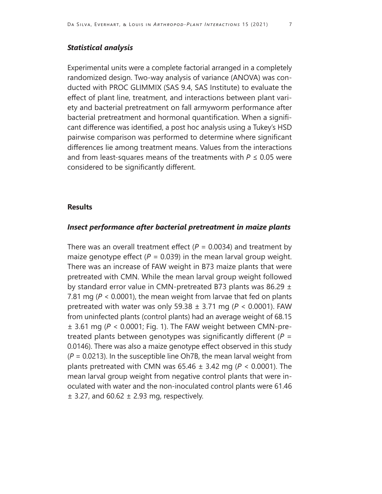## *Statistical analysis*

Experimental units were a complete factorial arranged in a completely randomized design. Two-way analysis of variance (ANOVA) was conducted with PROC GLIMMIX (SAS 9.4, SAS Institute) to evaluate the effect of plant line, treatment, and interactions between plant variety and bacterial pretreatment on fall armyworm performance after bacterial pretreatment and hormonal quantification. When a significant difference was identified, a post hoc analysis using a Tukey's HSD pairwise comparison was performed to determine where significant differences lie among treatment means. Values from the interactions and from least-squares means of the treatments with *P* ≤ 0.05 were considered to be significantly different.

## **Results**

## *Insect performance after bacterial pretreatment in maize plants*

There was an overall treatment effect  $(P = 0.0034)$  and treatment by maize genotype effect  $(P = 0.039)$  in the mean larval group weight. There was an increase of FAW weight in B73 maize plants that were pretreated with CMN. While the mean larval group weight followed by standard error value in CMN-pretreated B73 plants was 86.29  $\pm$ 7.81 mg (*P* < 0.0001), the mean weight from larvae that fed on plants pretreated with water was only 59.38 ± 3.71 mg (*P* < 0.0001). FAW from uninfected plants (control plants) had an average weight of 68.15 ± 3.61 mg (*P* < 0.0001; Fig. 1). The FAW weight between CMN-pretreated plants between genotypes was significantly different (*P* = 0.0146). There was also a maize genotype effect observed in this study  $(P = 0.0213)$ . In the susceptible line Oh7B, the mean larval weight from plants pretreated with CMN was 65.46 ± 3.42 mg (*P* < 0.0001). The mean larval group weight from negative control plants that were inoculated with water and the non-inoculated control plants were 61.46  $\pm$  3.27, and 60.62  $\pm$  2.93 mg, respectively.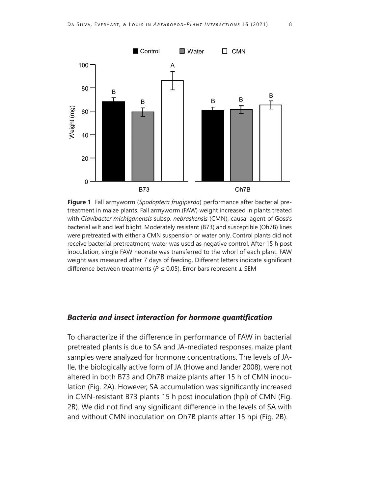

**Figure 1** Fall armyworm (*Spodoptera frugiperda*) performance after bacterial pretreatment in maize plants. Fall armyworm (FAW) weight increased in plants treated with *Clavibacter michiganensis* subsp. *nebraskensis* (CMN), causal agent of Goss's bacterial wilt and leaf blight. Moderately resistant (B73) and susceptible (Oh7B) lines were pretreated with either a CMN suspension or water only. Control plants did not receive bacterial pretreatment; water was used as negative control. After 15 h post inoculation, single FAW neonate was transferred to the whorl of each plant. FAW weight was measured after 7 days of feeding. Different letters indicate significant difference between treatments ( $P \le 0.05$ ). Error bars represent  $\pm$  SEM

## *Bacteria and insect interaction for hormone quantification*

To characterize if the difference in performance of FAW in bacterial pretreated plants is due to SA and JA-mediated responses, maize plant samples were analyzed for hormone concentrations. The levels of JA-Ile, the biologically active form of JA (Howe and Jander 2008), were not altered in both B73 and Oh7B maize plants after 15 h of CMN inoculation (Fig. 2A). However, SA accumulation was significantly increased in CMN-resistant B73 plants 15 h post inoculation (hpi) of CMN (Fig. 2B). We did not find any significant difference in the levels of SA with and without CMN inoculation on Oh7B plants after 15 hpi (Fig. 2B).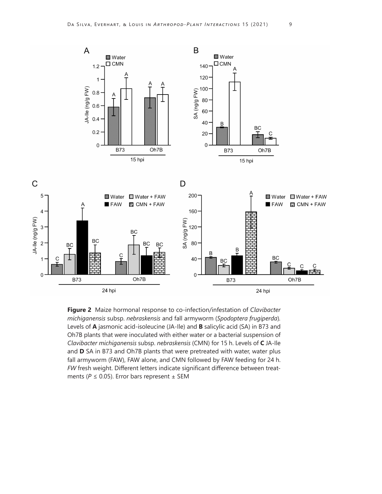

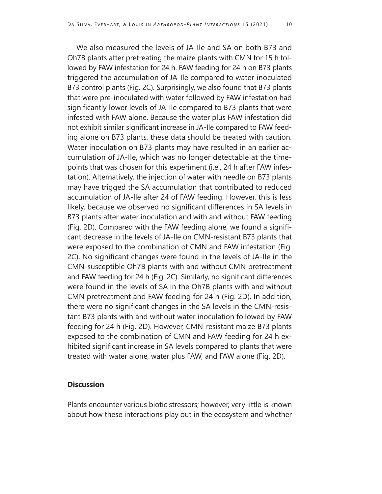We also measured the levels of JA-Ile and SA on both B73 and Oh7B plants after pretreating the maize plants with CMN for 15 h followed by FAW infestation for 24 h. FAW feeding for 24 h on B73 plants triggered the accumulation of JA-Ile compared to water-inoculated B73 control plants (Fig. 2C). Surprisingly, we also found that B73 plants that were pre-inoculated with water followed by FAW infestation had significantly lower levels of JA-Ile compared to B73 plants that were infested with FAW alone. Because the water plus FAW infestation did not exhibit similar significant increase in JA-Ile compared to FAW feeding alone on B73 plants, these data should be treated with caution. Water inoculation on B73 plants may have resulted in an earlier accumulation of JA-Ile, which was no longer detectable at the timepoints that was chosen for this experiment (i.e., 24 h after FAW infestation). Alternatively, the injection of water with needle on B73 plants may have trigged the SA accumulation that contributed to reduced accumulation of JA-Ile after 24 of FAW feeding. However, this is less likely, because we observed no significant differences in SA levels in B73 plants after water inoculation and with and without FAW feeding (Fig. 2D). Compared with the FAW feeding alone, we found a significant decrease in the levels of JA-Ile on CMN-resistant B73 plants that were exposed to the combination of CMN and FAW infestation (Fig. 2C). No significant changes were found in the levels of JA-Ile in the CMN-susceptible Oh7B plants with and without CMN pretreatment and FAW feeding for 24 h (Fig. 2C). Similarly, no significant differences were found in the levels of SA in the Oh7B plants with and without CMN pretreatment and FAW feeding for 24 h (Fig. 2D). In addition, there were no significant changes in the SA levels in the CMN-resistant B73 plants with and without water inoculation followed by FAW feeding for 24 h (Fig. 2D). However, CMN-resistant maize B73 plants exposed to the combination of CMN and FAW feeding for 24 h exhibited significant increase in SA levels compared to plants that were treated with water alone, water plus FAW, and FAW alone (Fig. 2D).

## **Discussion**

Plants encounter various biotic stressors; however, very little is known about how these interactions play out in the ecosystem and whether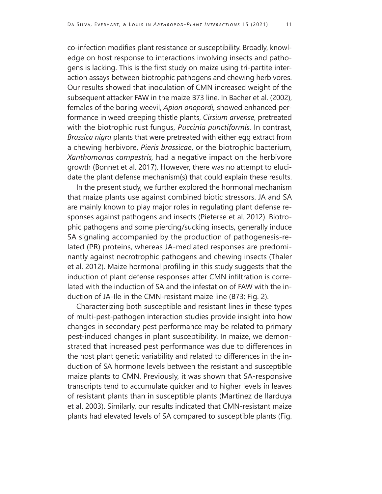co-infection modifies plant resistance or susceptibility. Broadly, knowledge on host response to interactions involving insects and pathogens is lacking. This is the first study on maize using tri-partite interaction assays between biotrophic pathogens and chewing herbivores. Our results showed that inoculation of CMN increased weight of the subsequent attacker FAW in the maize B73 line. In Bacher et al. (2002), females of the boring weevil, *Apion onopordi,* showed enhanced performance in weed creeping thistle plants, *Cirsium arvense*, pretreated with the biotrophic rust fungus, *Puccinia punctiformis.* In contrast, *Brassica nigra* plants that were pretreated with either egg extract from a chewing herbivore, *Pieris brassicae*, or the biotrophic bacterium, *Xanthomonas campestris,* had a negative impact on the herbivore growth (Bonnet et al. 2017). However, there was no attempt to elucidate the plant defense mechanism(s) that could explain these results.

In the present study, we further explored the hormonal mechanism that maize plants use against combined biotic stressors. JA and SA are mainly known to play major roles in regulating plant defense responses against pathogens and insects (Pieterse et al. 2012). Biotrophic pathogens and some piercing/sucking insects, generally induce SA signaling accompanied by the production of pathogenesis-related (PR) proteins, whereas JA-mediated responses are predominantly against necrotrophic pathogens and chewing insects (Thaler et al. 2012). Maize hormonal profiling in this study suggests that the induction of plant defense responses after CMN infiltration is correlated with the induction of SA and the infestation of FAW with the induction of JA-Ile in the CMN-resistant maize line (B73; Fig. 2).

Characterizing both susceptible and resistant lines in these types of multi-pest-pathogen interaction studies provide insight into how changes in secondary pest performance may be related to primary pest-induced changes in plant susceptibility. In maize, we demonstrated that increased pest performance was due to differences in the host plant genetic variability and related to differences in the induction of SA hormone levels between the resistant and susceptible maize plants to CMN. Previously, it was shown that SA-responsive transcripts tend to accumulate quicker and to higher levels in leaves of resistant plants than in susceptible plants (Martinez de Ilarduya et al. 2003). Similarly, our results indicated that CMN-resistant maize plants had elevated levels of SA compared to susceptible plants (Fig.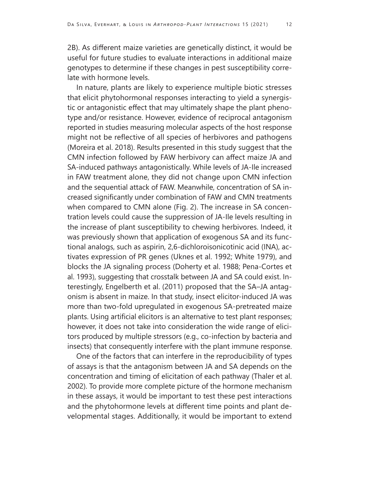2B). As different maize varieties are genetically distinct, it would be useful for future studies to evaluate interactions in additional maize genotypes to determine if these changes in pest susceptibility correlate with hormone levels.

In nature, plants are likely to experience multiple biotic stresses that elicit phytohormonal responses interacting to yield a synergistic or antagonistic effect that may ultimately shape the plant phenotype and/or resistance. However, evidence of reciprocal antagonism reported in studies measuring molecular aspects of the host response might not be reflective of all species of herbivores and pathogens (Moreira et al. 2018). Results presented in this study suggest that the CMN infection followed by FAW herbivory can affect maize JA and SA-induced pathways antagonistically. While levels of JA-Ile increased in FAW treatment alone, they did not change upon CMN infection and the sequential attack of FAW. Meanwhile, concentration of SA increased significantly under combination of FAW and CMN treatments when compared to CMN alone (Fig. 2). The increase in SA concentration levels could cause the suppression of JA-Ile levels resulting in the increase of plant susceptibility to chewing herbivores. Indeed, it was previously shown that application of exogenous SA and its functional analogs, such as aspirin, 2,6-dichloroisonicotinic acid (INA), activates expression of PR genes (Uknes et al. 1992; White 1979), and blocks the JA signaling process (Doherty et al. 1988; Pena-Cortes et al. 1993), suggesting that crosstalk between JA and SA could exist. Interestingly, Engelberth et al. (2011) proposed that the SA–JA antagonism is absent in maize. In that study, insect elicitor-induced JA was more than two-fold upregulated in exogenous SA-pretreated maize plants. Using artificial elicitors is an alternative to test plant responses; however, it does not take into consideration the wide range of elicitors produced by multiple stressors (e.g., co-infection by bacteria and insects) that consequently interfere with the plant immune response.

One of the factors that can interfere in the reproducibility of types of assays is that the antagonism between JA and SA depends on the concentration and timing of elicitation of each pathway (Thaler et al. 2002). To provide more complete picture of the hormone mechanism in these assays, it would be important to test these pest interactions and the phytohormone levels at different time points and plant developmental stages. Additionally, it would be important to extend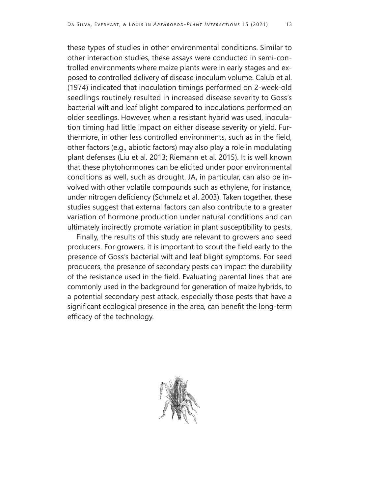these types of studies in other environmental conditions. Similar to other interaction studies, these assays were conducted in semi-controlled environments where maize plants were in early stages and exposed to controlled delivery of disease inoculum volume. Calub et al. (1974) indicated that inoculation timings performed on 2-week-old seedlings routinely resulted in increased disease severity to Goss's bacterial wilt and leaf blight compared to inoculations performed on older seedlings. However, when a resistant hybrid was used, inoculation timing had little impact on either disease severity or yield. Furthermore, in other less controlled environments, such as in the field, other factors (e.g., abiotic factors) may also play a role in modulating plant defenses (Liu et al. 2013; Riemann et al. 2015). It is well known that these phytohormones can be elicited under poor environmental conditions as well, such as drought. JA, in particular, can also be involved with other volatile compounds such as ethylene, for instance, under nitrogen deficiency (Schmelz et al. 2003). Taken together, these studies suggest that external factors can also contribute to a greater variation of hormone production under natural conditions and can ultimately indirectly promote variation in plant susceptibility to pests.

Finally, the results of this study are relevant to growers and seed producers. For growers, it is important to scout the field early to the presence of Goss's bacterial wilt and leaf blight symptoms. For seed producers, the presence of secondary pests can impact the durability of the resistance used in the field. Evaluating parental lines that are commonly used in the background for generation of maize hybrids, to a potential secondary pest attack, especially those pests that have a significant ecological presence in the area, can benefit the long-term efficacy of the technology.

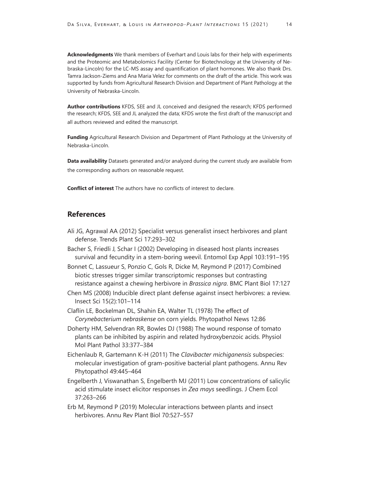**Acknowledgments** We thank members of Everhart and Louis labs for their help with experiments and the Proteomic and Metabolomics Facility (Center for Biotechnology at the University of Nebraska-Lincoln) for the LC-MS assay and quantification of plant hormones. We also thank Drs. Tamra Jackson-Ziems and Ana Maria Velez for comments on the draft of the article. This work was supported by funds from Agricultural Research Division and Department of Plant Pathology at the University of Nebraska-Lincoln.

**Author contributions** KFDS, SEE and JL conceived and designed the research; KFDS performed the research; KFDS, SEE and JL analyzed the data; KFDS wrote the first draft of the manuscript and all authors reviewed and edited the manuscript.

**Funding** Agricultural Research Division and Department of Plant Pathology at the University of Nebraska-Lincoln.

**Data availability** Datasets generated and/or analyzed during the current study are available from the corresponding authors on reasonable request.

**Conflict of interest** The authors have no conflicts of interest to declare.

## **References**

- Ali JG, Agrawal AA (2012) Specialist versus generalist insect herbivores and plant defense. Trends Plant Sci 17:293–302
- Bacher S, Friedli J, Schar I (2002) Developing in diseased host plants increases survival and fecundity in a stem-boring weevil. Entomol Exp Appl 103:191–195

Bonnet C, Lassueur S, Ponzio C, Gols R, Dicke M, Reymond P (2017) Combined biotic stresses trigger similar transcriptomic responses but contrasting resistance against a chewing herbivore in *Brassica nigra*. BMC Plant Biol 17:127

Chen MS (2008) Inducible direct plant defense against insect herbivores: a review. Insect Sci 15(2):101–114

Claflin LE, Bockelman DL, Shahin EA, Walter TL (1978) The effect of *Corynebacterium nebraskense* on corn yields. Phytopathol News 12:86

Doherty HM, Selvendran RR, Bowles DJ (1988) The wound response of tomato plants can be inhibited by aspirin and related hydroxybenzoic acids. Physiol Mol Plant Pathol 33:377–384

Eichenlaub R, Gartemann K-H (2011) The *Clavibacter michiganensis* subspecies: molecular investigation of gram-positive bacterial plant pathogens. Annu Rev Phytopathol 49:445–464

Engelberth J, Viswanathan S, Engelberth MJ (2011) Low concentrations of salicylic acid stimulate insect elicitor responses in *Zea mays* seedlings. J Chem Ecol 37:263–266

Erb M, Reymond P (2019) Molecular interactions between plants and insect herbivores. Annu Rev Plant Biol 70:527–557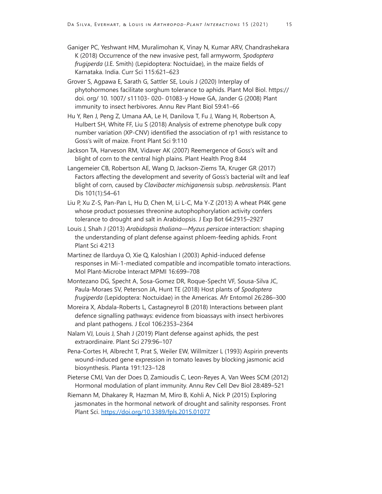Ganiger PC, Yeshwant HM, Muralimohan K, Vinay N, Kumar ARV, Chandrashekara K (2018) Occurrence of the new invasive pest, fall armyworm, *Spodoptera frugiperda* (J.E. Smith) (Lepidoptera: Noctuidae), in the maize fields of Karnataka. India. Curr Sci 115:621–623

- Grover S, Agpawa E, Sarath G, Sattler SE, Louis J (2020) Interplay of phytohormones facilitate sorghum tolerance to aphids. Plant Mol Biol. https:// doi. org/ 10. 1007/ s11103- 020- 01083-y Howe GA, Jander G (2008) Plant immunity to insect herbivores. Annu Rev Plant Biol 59:41–66
- Hu Y, Ren J, Peng Z, Umana AA, Le H, Danilova T, Fu J, Wang H, Robertson A, Hulbert SH, White FF, Liu S (2018) Analysis of extreme phenotype bulk copy number variation (XP-CNV) identified the association of rp1 with resistance to Goss's wilt of maize. Front Plant Sci 9:110
- Jackson TA, Harveson RM, Vidaver AK (2007) Reemergence of Goss's wilt and blight of corn to the central high plains. Plant Health Prog 8:44
- Langemeier CB, Robertson AE, Wang D, Jackson-Ziems TA, Kruger GR (2017) Factors affecting the development and severity of Goss's bacterial wilt and leaf blight of corn, caused by *Clavibacter michiganensis* subsp. *nebraskensis*. Plant Dis 101(1):54–61
- Liu P, Xu Z-S, Pan-Pan L, Hu D, Chen M, Li L-C, Ma Y-Z (2013) A wheat PI4K gene whose product possesses threonine autophophorylation activity confers tolerance to drought and salt in Arabidopsis. J Exp Bot 64:2915–2927
- Louis J, Shah J (2013) *Arabidopsis thaliana—Myzus persicae* interaction: shaping the understanding of plant defense against phloem-feeding aphids. Front Plant Sci 4:213
- Martinez de Ilarduya O, Xie Q, Kaloshian I (2003) Aphid-induced defense responses in Mi-1-mediated compatible and incompatible tomato interactions. Mol Plant-Microbe Interact MPMI 16:699–708
- Montezano DG, Specht A, Sosa-Gomez DR, Roque-Specht VF, Sousa-Silva JC, Paula-Moraes SV, Peterson JA, Hunt TE (2018) Host plants of *Spodoptera frugiperda* (Lepidoptera: Noctuidae) in the Americas. Afr Entomol 26:286–300
- Moreira X, Abdala-Roberts L, Castagneyrol B (2018) Interactions between plant defence signalling pathways: evidence from bioassays with insect herbivores and plant pathogens. J Ecol 106:2353–2364
- Nalam VJ, Louis J, Shah J (2019) Plant defense against aphids, the pest extraordinaire. Plant Sci 279:96–107
- Pena-Cortes H, Albrecht T, Prat S, Weiler EW, Willmitzer L (1993) Aspirin prevents wound-induced gene expression in tomato leaves by blocking jasmonic acid biosynthesis. Planta 191:123–128
- Pieterse CMJ, Van der Does D, Zamioudis C, Leon-Reyes A, Van Wees SCM (2012) Hormonal modulation of plant immunity. Annu Rev Cell Dev Biol 28:489–521
- Riemann M, Dhakarey R, Hazman M, Miro B, Kohli A, Nick P (2015) Exploring jasmonates in the hormonal network of drought and salinity responses. Front Plant Sci.<https://doi.org/10.3389/fpls.2015.01077>